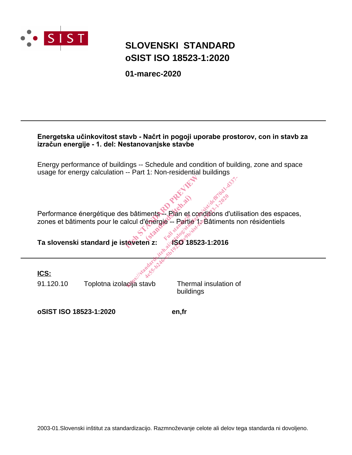

# **SLOVENSKI STANDARD oSIST ISO 18523-1:2020**

**01-marec-2020**

# **Energetska učinkovitost stavb - Načrt in pogoji uporabe prostorov, con in stavb za izračun energije - 1. del: Nestanovanjske stavbe** Energy performance of buildings -- Schedule and condition of building, zone and space usage for energy calculation -- Part 1: Non-residential buildings Performance énergétique des bâtiments -- Plan et conditions d'utilisation des espaces, zones et bâtiments pour le calcul d'énergie -- Partie 1: Bâtiments non résidentiels Ful standard: **Ta slovenski standard je istoveten z: ISO 18523-1:2016** 91.120.10 Toplotna izolacija stavb Thermal insulation of buildings **ICS: oSIST ISO 18523-1:2020 en,fr** iteh Standard Preview of the Standard Standard Condition of the Standard Standard Standard Standard Standard Standard Standard Standard Standard Standard Standard Standard Standard Standard Standard Standard Standard Stand ents.<sup>202</sup> as He prince to the prince of the principle of the principle of the principle of the principle of the principle of the prince of the principle of the principle of the principle of the principle of the principle of the princip Henergie -- Partie 1-Batiments -- Plan et conditions d'énergie -- Partie 1-Batiments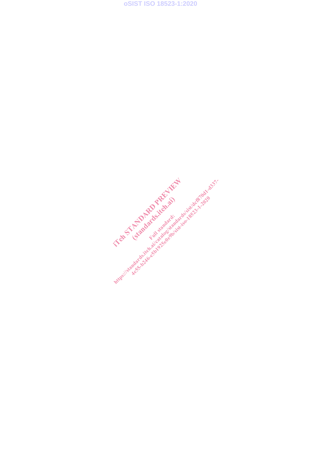oSIST ISO 18523-1:2020

Initial legislation of the property of the control state of the control of the control of the control of the control of the control of the control of the control of the control of the control of the control of the control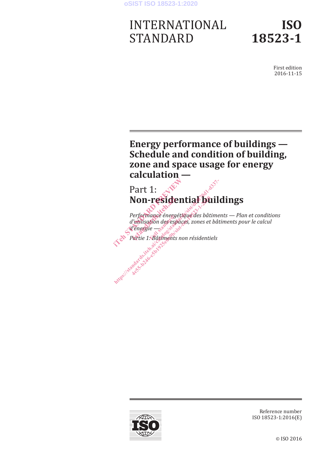# INTERNATIONAL STANDARD

# **ISO 18523-1**

First edition 2016-11-15

# **Energy performance of buildings — Schedule and condition of building, zone and space usage for energy calculation —**

# Part 1: **Non-residential buildings** Part 1:<br>
Non-residentia<br>
enterprimance énergétiques<br>
d'attilisation des espaces, zu<br>
d'énergie —

*Performance énergétique des bâtiments — Plan et conditions d'utilisation des espaces, zones et bâtiments — Pian et condition<br>d'utilisation des espaces, zones et bâtiments pour le calcul<br>d'énergie — espaces, son<br>Partie 1: Bâtiments non résidentiels d'énergie —* **Von-reside**<br>
Performance énergé<br>
l'atilisation des espectives<br>
l'énergie —<br>
Partie 1: Bâtiments

*Partie 1: Bâtiments non résidentiels* https://standards.iteh.a

fantastas-ten-eta



Reference number ISO 18523-1:2016(E)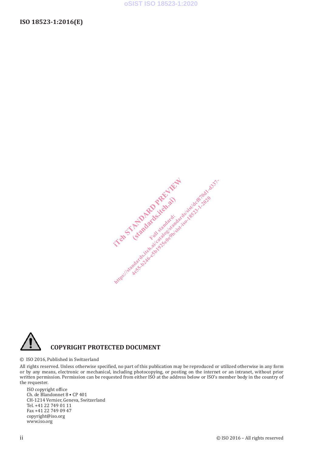**ISO 18523-1:2016(E)**





#### © ISO 2016, Published in Switzerland

All rights reserved. Unless otherwise specified, no part of this publication may be reproduced or utilized otherwise in any form or by any means, electronic or mechanical, including photocopying, or posting on the internet or an intranet, without prior written permission. Permission can be requested from either ISO at the address below or ISO's member body in the country of the requester.

ISO copyright office Ch. de Blandonnet 8 • CP 401 CH-1214 Vernier, Geneva, Switzerland Tel. +41 22 749 01 11 Fax +41 22 749 09 47 copyright@iso.org www.iso.org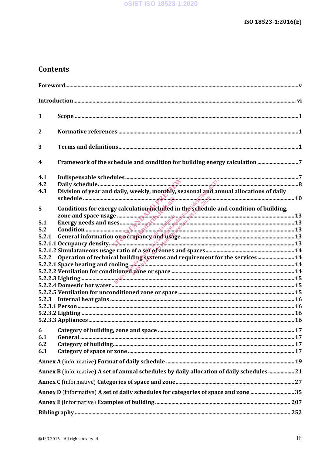## **Contents**

| $\mathbf{1}$            |                                                                                                                                       |  |
|-------------------------|---------------------------------------------------------------------------------------------------------------------------------------|--|
| $\overline{2}$          |                                                                                                                                       |  |
| 3                       |                                                                                                                                       |  |
| $\overline{\mathbf{4}}$ |                                                                                                                                       |  |
| 4.1                     |                                                                                                                                       |  |
| 4.2                     |                                                                                                                                       |  |
| 4.3                     | Division of year and daily, weekly, monthly, seasonal and annual allocations of daily                                                 |  |
|                         |                                                                                                                                       |  |
| 5                       | Conditions for energy calculation included in the schedule and condition of building,                                                 |  |
|                         |                                                                                                                                       |  |
| 5.1                     |                                                                                                                                       |  |
| 5.2                     |                                                                                                                                       |  |
| 5.2.1                   |                                                                                                                                       |  |
|                         |                                                                                                                                       |  |
|                         |                                                                                                                                       |  |
| 5.2.2                   | Operation of technical building systems and requirement for the services 14                                                           |  |
|                         | 5.2.2.1 Space heating and cooling هي المستندر المستندر المستندر المستندر المناسبة المستندر المستندر 5.2.2.1 Space heating and cooling |  |
|                         |                                                                                                                                       |  |
|                         |                                                                                                                                       |  |
|                         |                                                                                                                                       |  |
|                         |                                                                                                                                       |  |
| 5.2.3                   |                                                                                                                                       |  |
|                         |                                                                                                                                       |  |
|                         |                                                                                                                                       |  |
|                         |                                                                                                                                       |  |
| 6                       |                                                                                                                                       |  |
| 6.1                     |                                                                                                                                       |  |
| 6.2                     |                                                                                                                                       |  |
| 6.3                     |                                                                                                                                       |  |
|                         |                                                                                                                                       |  |
|                         | Annex B (informative) A set of annual schedules by daily allocation of daily schedules  21                                            |  |
|                         |                                                                                                                                       |  |
|                         | Annex D (informative) A set of daily schedules for categories of space and zone 35                                                    |  |
|                         |                                                                                                                                       |  |
|                         |                                                                                                                                       |  |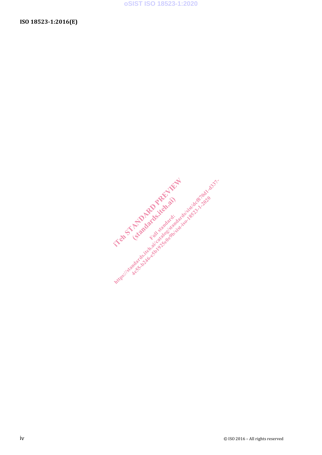**ISO 18523-1:2016(E)** 

In Strandard Reports in the State Elmandards.iteh.ai https://standards.iteh.ai/catalogistics.iteh.ai/catalogistics.iteh.ai/catalogistics.iteh.ai/catalogistics.iteh<br>in the standards.iteh.ai/catalogistics.iteh.ai/catalogistics.iteh.ai/catalogistics.iteh.ai/catalogistics.iteh<br>i Aestro Report of the Strategy of Strategy Assessment of the Strategy of the Strategy of the Strategy of the Strategy of the Strategy of the Strategy of the Strategy of the Strategy of the Strategy of the Strategy of the St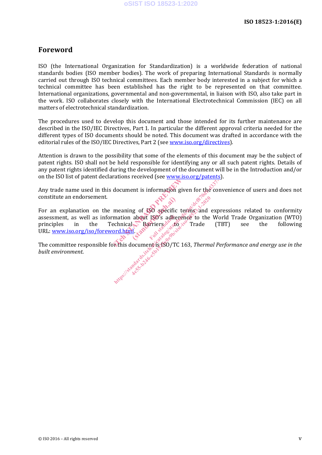## **Foreword**

ISO (the International Organization for Standardization) is a worldwide federation of national standards bodies (ISO member bodies). The work of preparing International Standards is normally carried out through ISO technical committees. Each member body interested in a subject for which a technical committee has been established has the right to be represented on that committee. International organizations, governmental and non-governmental, in liaison with ISO, also take part in the work. ISO collaborates closely with the International Electrotechnical Commission (IEC) on all matters of electrotechnical standardization.

The procedures used to develop this document and those intended for its further maintenance are described in the ISO/IEC Directives, Part 1. In particular the different approval criteria needed for the different types of ISO documents should be noted. This document was drafted in accordance with the editorial rules of the ISO/IEC Directives, Part 2 (see www.iso.org/directives).

Attention is drawn to the possibility that some of the elements of this document may be the subject of patent rights. ISO shall not be held responsible for identifying any or all such patent rights. Details of any patent rights identified during the development of the document will be in the Introduction and/or on the ISO list of patent declarations received (see www.iso.org/patents).

Any trade name used in this document is information given for the convenience of users and does not constitute an endorsement.

For an explanation on the meaning of  $\overline{150}$  specific terms and expressions related to conformity assessment, as well as information about ISO's adherence to the World Trade Organization (WTO) principles in the Technical Barriers of Trade (TBT) see the following URL: www.iso.org/iso/foreword.html document is information given<br>
meaning of 150 specific terms<br>
mation about 150's adherence<br>
echnical Barriers and stock of The<br>
ord.html. can<br>
ord.html. can<br>
in this document is 150/TC 163. e of 150 specific<br>about 150's adher<br> $\sqrt{\frac{1}{2}}$  Barriers.<sup>35</sup> sto document is information given for the con-<br>meaning of 150 specific terms and expression about 150's adherence to the Word<br>chnical Barriers and CTI<br>and http://sister/sister/sist/dc/870d1-d3.7hermal Pe ig of 150 specific terms and<br>about 150's adherence to the<br>left Barriers and actions and<br>lexal and an expective Trade<br>locument is 180/TC 163, Therman<br>parts is the contract of the contract of the contract of the contract of

The committee responsible for this document is 180/TC 163, *Thermal Performance and energy use in the built environment*. *built environment*.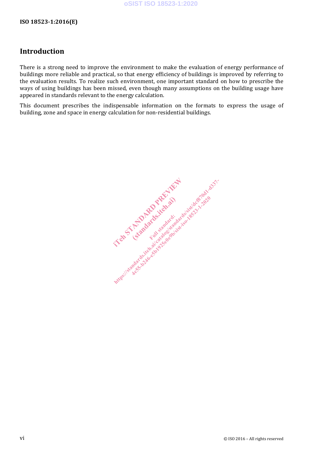## **Introduction**

There is a strong need to improve the environment to make the evaluation of energy performance of buildings more reliable and practical, so that energy efficiency of buildings is improved by referring to the evaluation results. To realize such environment, one important standard on how to prescribe the ways of using buildings has been missed, even though many assumptions on the building usage have appeared in standards relevant to the energy calculation.

This document prescribes the indispensable information on the formats to express the usage of building, zone and space in energy calculation for non-residential buildings.

In Strandard Reports in the State Elmandards.iteh.ai https://standards.iteh.ai/catalogistics.iteh.ai/catalogistics.iteh.ai/catalogistics.iteh.ai/catalogistics.iteh<br>in the standards.iteh.ai/catalogistics.iteh.ai/catalogistics.iteh.ai/catalogistics.iteh.ai/catalogistics.iteh<br>i Aestro Report of the Strategy of Strategy Assessment of the Strategy of the Strategy of the Strategy of the Strategy of the Strategy of the Strategy of the Strategy of the Strategy of the Strategy of the Strategy of the St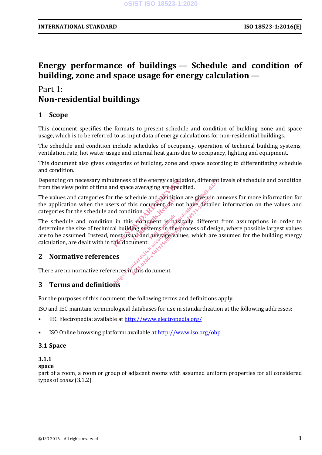# **Energy performance of buildings — Schedule and condition of building, zone and space usage for energy calculation** —

## Part 1: **Non-residential buildings**

## **1 Scope**

This document specifies the formats to present schedule and condition of building, zone and space usage, which is to be referred to as input data of energy calculations for non-residential buildings.

The schedule and condition include schedules of occupancy, operation of technical building systems, ventilation rate, hot water usage and internal heat gains due to occupancy, lighting and equipment.

This document also gives categories of building, zone and space according to differentiating schedule and condition.

Depending on necessary minuteness of the energy calculation, different levels of schedule and condition from the view point of time and space averaging are specified.

The values and categories for the schedule and condition are given in annexes for more information for the application when the users of this document do not have detailed information on the values and categories for the schedule and condition.

The schedule and condition in this document is basically different from assumptions in order to determine the size of technical building systems in the process of design, where possible largest values are to be assumed. Instead, most usual and average values, which are assumed for the building energy calculation, are dealt with in this document. iteness of the energy calculation<br>
in space averaging are specified.<br>
The schedule and condition are<br>
ers of this document do not had<br>
in this document is basically<br>
in this document is basically<br>
al building systems in th nedule and condition<br>ition.<br>Full state is based<br>ing systems in the union of the standard average value hteness of the energy calculation, different in the schedule and condition are given in an arrs of this document do not have detailed d condition.<br>
in this document do not have detailed d condition.<br>
in this document is ha edule and condition are given<br>his document do not have deta<br>ition.<br>s document is basically differ<br>ing systems in the process of d<br>ual and average values, which a<br>ument.<br>s shows a specified of this document.

#### **2 Normative references**

There are no normative references in this document.

## **3 Terms and definitions**

For the purposes of this document, the following terms and definitions apply.

ISO and IEC maintain terminological databases for use in standardization at the following addresses:

- IEC Electropedia: available at http://www.electropedia.org/
- ISO Online browsing platform: available at http://www.iso.org/obp

#### **3.1 Space**

#### **3.1.1**

#### **space**

part of a room, a room or group of adjacent rooms with assumed uniform properties for all considered types of *zones* (3.1.2)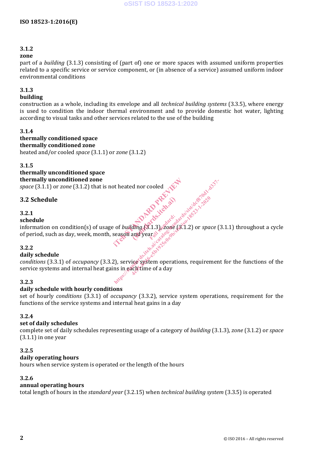## **3.1.2**

#### **zone**

part of a *building* (3.1.3) consisting of (part of) one or more spaces with assumed uniform properties related to a specific service or service component, or (in absence of a service) assumed uniform indoor environmental conditions

#### **3.1.3**

#### **building**

construction as a whole, including its envelope and all *technical building systems* (3.3.5), where energy is used to condition the indoor thermal environment and to provide domestic hot water, lighting according to visual tasks and other services related to the use of the building

#### **3.1.4**

**thermally conditioned space thermally conditioned zone**  heated and/or cooled *space* (3.1.1) or *zone* (3.1.2)

#### **3.1.5**

#### **thermally unconditioned space thermally unconditioned zone**

*space* (3.1.1) or *zone* (3.1.2) that is not heated nor cooled

#### **3.2 Schedule**

#### **3.2.1**

#### **schedule**

schedule<br>information on condition(s) of usage of *building* (3.1.3), *zone* (3.1.2) or *space* (3.1.1) throughout a cycle of period, such as day, week, month, season and year. ot heated nor cooled<br>the STANDARD PREVIEW and the state of the previous contract of the state of the state of the state of the state of the state of the state of the state of the state of the state of the state of the stat ding (st.13) 2008 (standards.<br>and years) 3.2008 (standards. Ful standards

#### **3.2.2**

#### **daily schedule**

*conditions* (3.3.1) of *occupancy* (3.3.2), service system operations, requirement for the functions of the service systems and internal heat gains in each time of a day theated nor cooled with the data of default of the property of the state of the property of the property of the property of the property of the property of the property of the property of the property of the property of th 4eb 26th abid and years) and years) of the space (3.1.2) or spanned the space of the space of the space of the space of the space of the space of the space of the space of the space of the space of the space of the space o

#### **3.2.3**

#### **daily schedule with hourly conditions**

set of hourly *conditions* (3.3.1) of *occupancy* (3.3.2), service system operations, requirement for the functions of the service systems and internal heat gains in a day

#### **3.2.4**

#### **set of daily schedules**

complete set of daily schedules representing usage of a category of *building* (3.1.3), *zone* (3.1.2) or *space*  $(3.1.1)$  in one year

#### **3.2.5**

#### **daily operating hours**

hours when service system is operated or the length of the hours

#### **3.2.6**

#### **annual operating hours**

total length of hours in the *standard year* (3.2.15) when *technical building system* (3.3.5) is operated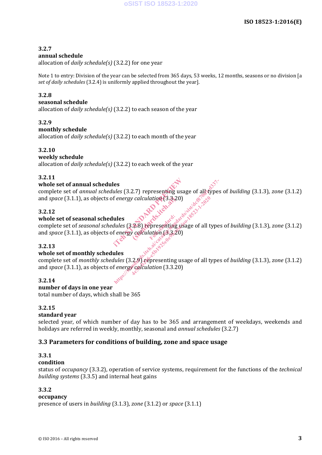#### **3.2.7**

#### **annual schedule**

allocation of *daily schedule(s)* (3.2.2) for one year

Note 1 to entry: Division of the year can be selected from 365 days, 53 weeks, 12 months, seasons or no division [a *set of daily schedules* (3.2.4) is uniformly applied throughout the year].

#### **3.2.8**

#### **seasonal schedule**

allocation of *daily schedule(s)* (3.2.2) to each season of the year

#### **3.2.9**

#### **monthly schedule**

allocation of *daily schedule(s)* (3.2.2) to each month of the year

#### **3.2.10**

#### **weekly schedule**

allocation of *daily schedule(s)* (3.2.2) to each week of the year

#### **3.2.11**

#### **whole set of annual schedules**

complete set of *annual schedules* (3.2.7) representing usage of all types of *building* (3.1.3), *zone* (3.1.2) and *space* (3.1.1), as objects of *energy calculation* (3.3.20)

#### **3.2.12**

#### **whole set of seasonal schedules**

complete set of *seasonal schedules* (3.2.8) representing usage of all types of *building* (3.1.3), *zone* (3.1.2) and *space* (3.1.1), as objects of *energy calculation* (3.3.20) les<br>
ules (3.2.7) representing usage of<br>
f energy calculation (3.3.20)<br>
ules<br>
dules (3.2.8) representing usage<br>
f energy calculation (3.3.20)  $(3.3.20)$ <br> $(3.3.20)$ <br> $(3.3.20)$ <br> $(3.3.20)$ <br> $(3.3.20)$ 

#### **3.2.13**

#### **whole set of monthly schedules**

complete set of *monthly schedules* (3.2.9) representing usage of all types of *building* (3.1.3), *zone* (3.1.2) and *space* (3.1.1), as objects of *energy calculation* (3.3.20) es<br>
ules (3.2.7) representing usage of all types<br>
fenergy calculation (3.3.20)<br>
ules<br>
dules (3.2.8) representing usage of all types<br>
fenergy calculation (3.3.20)<br>
since  $\frac{1}{2}$ <br>
iles<br>
dules (3.2.9) representing usage of  $\frac{1}{2}$ enculation (3.3.20)<br>  $\frac{1}{2}$ encepting usage of all to<br>  $\frac{1}{2}$ enculation (3.3.20)<br>  $\frac{1}{2}$ enculation (3.3.20)<br>  $\frac{1}{2}$ encepting usage of all to<br>  $\frac{1}{2}$ encepting usage of all to<br>  $\frac{1}{2}$ encepting usag

#### **3.2.14**

#### **number of days in one year**

total number of days, which shall be 365

#### **3.2.15**

#### **standard year**

selected year, of which number of day has to be 365 and arrangement of weekdays, weekends and holidays are referred in weekly, monthly, seasonal and *annual schedules* (3.2.7)

#### **3.3 Parameters for conditions of building, zone and space usage**

#### **3.3.1**

#### **condition**

status of *occupancy* (3.3.2), operation of service systems, requirement for the functions of the *technical building systems* (3.3.5) and internal heat gains

#### **3.3.2**

#### **occupancy**

presence of users in *building* (3.1.3), *zone* (3.1.2) or *space* (3.1.1)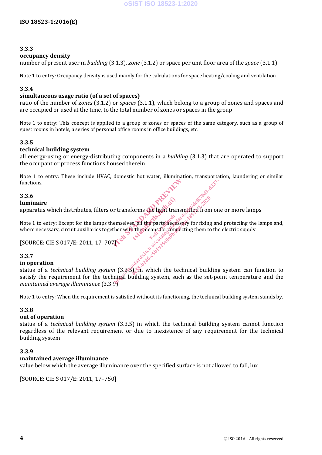#### **3.3.3**

#### **occupancy density**

number of present user in *building* (3.1.3), *zone* (3.1.2) or space per unit floor area of the *space* (3.1.1)

Note 1 to entry: Occupancy density is used mainly for the calculations for space heating/cooling and ventilation.

#### **3.3.4**

#### **simultaneous usage ratio (of a set of spaces)**

ratio of the number of *zones* (3.1.2) or *spaces* (3.1.1), which belong to a group of zones and spaces and are occupied or used at the time, to the total number of zones or spaces in the group

Note 1 to entry: This concept is applied to a group of zones or spaces of the same category, such as a group of guest rooms in hotels, a series of personal office rooms in office buildings, etc.

#### **3.3.5**

#### **technical building system**

all energy-using or energy-distributing components in a *building* (3.1.3) that are operated to support the occupant or process functions housed therein

Note 1 to entry: These include HVAC, domestic hot water, illumination, transportation, laundering or similar functions. 

#### **3.3.6**

#### **luminaire**

apparatus which distributes, filters or transforms the light transmitted from one or more lamps

Note 1 to entry: Except for the lamps themselves, all the parts necessary for fixing and protecting the lamps and, where necessary, circuit auxiliaries together with the means for connecting them to the electric supply ite the means of the base of the contract of the parts of the contract of the parts of the parts of the contract of the parts of the contract of the contract of the contract of the contract of the contract of the contract Forms the light transfer of **Example**<br>Franciscopy<br>Ful state standard forms the light transmitted from<br>the high transmitted from<br>the parts necessary for fixing<br>the means for connecting them to

[SOURCE: CIE S 017/E: 2011, 17-707]

#### **3.3.7**

#### **in operation**

status of a *technical building system* (3.3.5), in which the technical building system can function to satisfy the requirement for the technical building system, such as the set-point temperature and the *maintained average illuminance* (3.3.9) ht principles. The parts of the parts of the parts of the parts of the parts of the parts of the parts of the parts of the parts of the parts of the parts of the parts of the parts of the parts of the parts of the parts of

Note 1 to entry: When the requirement is satisfied without its functioning, the technical building system stands by.

#### **3.3.8**

#### **out of operation**

status of a *technical building system* (3.3.5) in which the technical building system cannot function regardless of the relevant requirement or due to inexistence of any requirement for the technical building system

#### **3.3.9**

#### **maintained average illuminance**

value below which the average illuminance over the specified surface is not allowed to fall, lux

[SOURCE: CIE S 017/E: 2011, 17-750]